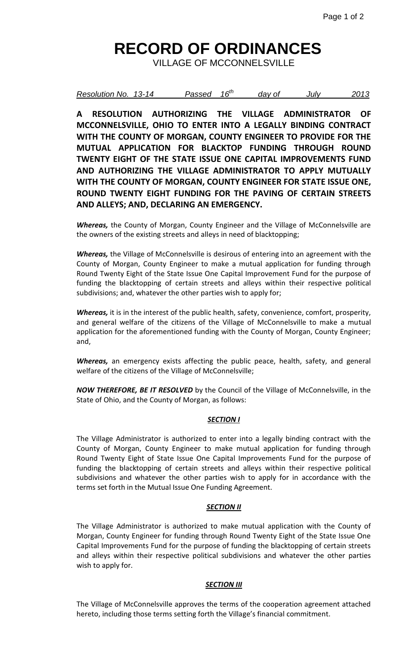# **RECORD OF ORDINANCES**

VILLAGE OF MCCONNELSVILLE

| Resolution No. 13-14<br>Passed | $16^{th}$ | day of<br>July | 2013 |
|--------------------------------|-----------|----------------|------|
|--------------------------------|-----------|----------------|------|

**A RESOLUTION AUTHORIZING THE VILLAGE ADMINISTRATOR OF MCCONNELSVILLE, OHIO TO ENTER INTO A LEGALLY BINDING CONTRACT WITH THE COUNTY OF MORGAN, COUNTY ENGINEER TO PROVIDE FOR THE MUTUAL APPLICATION FOR BLACKTOP FUNDING THROUGH ROUND TWENTY EIGHT OF THE STATE ISSUE ONE CAPITAL IMPROVEMENTS FUND AND AUTHORIZING THE VILLAGE ADMINISTRATOR TO APPLY MUTUALLY WITH THE COUNTY OF MORGAN, COUNTY ENGINEER FOR STATE ISSUE ONE, ROUND TWENTY EIGHT FUNDING FOR THE PAVING OF CERTAIN STREETS AND ALLEYS; AND, DECLARING AN EMERGENCY.**

*Whereas,* the County of Morgan, County Engineer and the Village of McConnelsville are the owners of the existing streets and alleys in need of blacktopping;

*Whereas,* the Village of McConnelsville is desirous of entering into an agreement with the County of Morgan, County Engineer to make a mutual application for funding through Round Twenty Eight of the State Issue One Capital Improvement Fund for the purpose of funding the blacktopping of certain streets and alleys within their respective political subdivisions; and, whatever the other parties wish to apply for;

*Whereas,* it is in the interest of the public health, safety, convenience, comfort, prosperity, and general welfare of the citizens of the Village of McConnelsville to make a mutual application for the aforementioned funding with the County of Morgan, County Engineer; and,

*Whereas,* an emergency exists affecting the public peace, health, safety, and general welfare of the citizens of the Village of McConnelsville;

*NOW THEREFORE, BE IT RESOLVED* by the Council of the Village of McConnelsville, in the State of Ohio, and the County of Morgan, as follows:

#### *SECTION I*

The Village Administrator is authorized to enter into a legally binding contract with the County of Morgan, County Engineer to make mutual application for funding through Round Twenty Eight of State Issue One Capital Improvements Fund for the purpose of funding the blacktopping of certain streets and alleys within their respective political subdivisions and whatever the other parties wish to apply for in accordance with the terms set forth in the Mutual Issue One Funding Agreement.

### *SECTION II*

The Village Administrator is authorized to make mutual application with the County of Morgan, County Engineer for funding through Round Twenty Eight of the State Issue One Capital Improvements Fund for the purpose of funding the blacktopping of certain streets and alleys within their respective political subdivisions and whatever the other parties wish to apply for.

#### *SECTION III*

The Village of McConnelsville approves the terms of the cooperation agreement attached hereto, including those terms setting forth the Village's financial commitment.